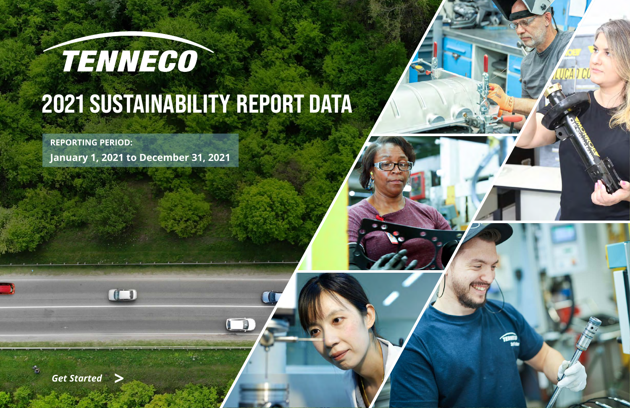



# THINEGO 2021 SUSTAINABILITY REPORT DATA

**REPORTING PERIOD:**

**January 1, 2021 to December 31, 2021**

OD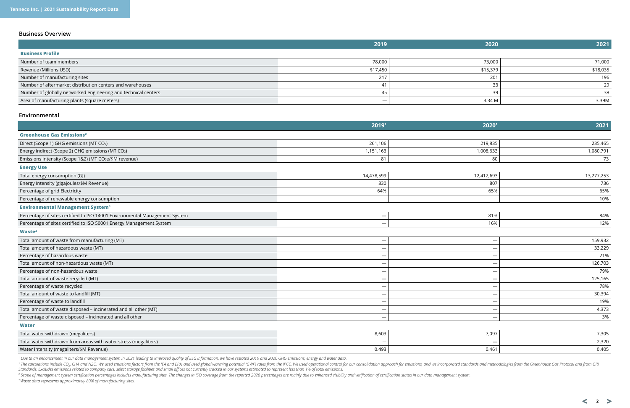|                                                                | 2019                            | 2020     | 2021     |
|----------------------------------------------------------------|---------------------------------|----------|----------|
| <b>Business Profile</b>                                        |                                 |          |          |
| Number of team members                                         | 78,000                          | 73,000   | 71,000   |
| Revenue (Millions USD)                                         | \$17,450                        | \$15,379 | \$18,035 |
| Number of manufacturing sites                                  | 217                             | 201      | 196      |
| Number of aftermarket distribution centers and warehouses      | 41                              | 33       | 29       |
| Number of globally networked engineering and technical centers | 45                              | 39       | 38       |
| Area of manufacturing plants (square meters)                   | $\hspace{0.1mm}-\hspace{0.1mm}$ | 3.34 M   | 3.39M    |

## <span id="page-1-0"></span>**Business Overview**

### **Environmental**

Total water withdrawn from areas with water stress (megaliters) *—* — 2,320 Water Intensity (megaliters/\$M Revenue) 0.493

|                                                                            | 20191                    | 20201                    | 2021       |
|----------------------------------------------------------------------------|--------------------------|--------------------------|------------|
| <b>Greenhouse Gas Emissions<sup>2</sup></b>                                |                          |                          |            |
| Direct (Scope 1) GHG emissions (MT CO2)                                    | 261,106                  | 219,835                  | 235,465    |
| Energy indirect (Scope 2) GHG emissions (MT CO2)                           | 1,151,163                | 1,008,633                | 1,080,791  |
| Emissions intensity (Scope 1&2) (MT CO2e/\$M revenue)                      | 81                       | 80                       | 73         |
| <b>Energy Use</b>                                                          |                          |                          |            |
| Total energy consumption (GJ)                                              | 14,478,599               | 12,412,693               | 13,277,253 |
| Energy Intensity (gigajoules/\$M Revenue)                                  | 830                      | 807                      | 736        |
| Percentage of grid Electricity                                             | 64%                      | 65%                      | 65%        |
| Percentage of renewable energy consumption                                 |                          |                          | 10%        |
| <b>Environmental Management System<sup>3</sup></b>                         |                          |                          |            |
| Percentage of sites certified to ISO 14001 Environmental Management System | $\qquad \qquad$          | 81%                      | 84%        |
| Percentage of sites certified to ISO 50001 Energy Management System        |                          | 16%                      | 12%        |
| Waste <sup>4</sup>                                                         |                          |                          |            |
| Total amount of waste from manufacturing (MT)                              | $\overline{\phantom{m}}$ | $\overline{\phantom{m}}$ | 159,932    |
| Total amount of hazardous waste (MT)                                       |                          |                          | 33,229     |
| Percentage of hazardous waste                                              | $\qquad \qquad$          | $\overline{\phantom{m}}$ | 21%        |
| Total amount of non-hazardous waste (MT)                                   |                          |                          | 126,703    |
| Percentage of non-hazardous waste                                          |                          |                          | 79%        |
| Total amount of waste recycled (MT)                                        |                          |                          | 125,165    |
| Percentage of waste recycled                                               |                          |                          | 78%        |
| Total amount of waste to landfill (MT)                                     |                          | $\overline{\phantom{m}}$ | 30,394     |
| Percentage of waste to landfill                                            |                          |                          | 19%        |
| Total amount of waste disposed - incinerated and all other (MT)            | $\qquad \qquad$          |                          | 4,373      |
| Percentage of waste disposed - incinerated and all other                   |                          | $\overline{\phantom{m}}$ | 3%         |
| <b>Water</b>                                                               |                          |                          |            |
| Total water withdrawn (megaliters)                                         | 8,603                    | 7,097                    | 7,305      |

<sup>2</sup> The calculations include CO<sub>2</sub>, CH4 and N2O. We used emissions factors from the IEA and EPA, and used global warming potential (GWP) rates from the IPCC. We used operational control for our consolidation approach for e *Standards. Excludes emissions related to company cars, select storage facilities and small offices not currently tracked in our systems estimated to represent less than 1% of total emissions.*

<sup>3</sup> Scope of management system certification percentages includes manufacturing sites. The changes in ISO coverage from the reported 2020 percentages are mainly due to enhanced visibility and verification of certification *4 Waste data represents approximately 80% of manufacturing sites.* 

| 7,097                    | 7,305 |
|--------------------------|-------|
| $\overline{\phantom{m}}$ | 2,320 |
| 0.461                    | 0.405 |

 $2 \ge$ 

*1 Due to an enhancement in our data management system in 2021 leading to improved quality of ESG information, we have restated 2019 and 2020 GHG emissions, energy and water data.*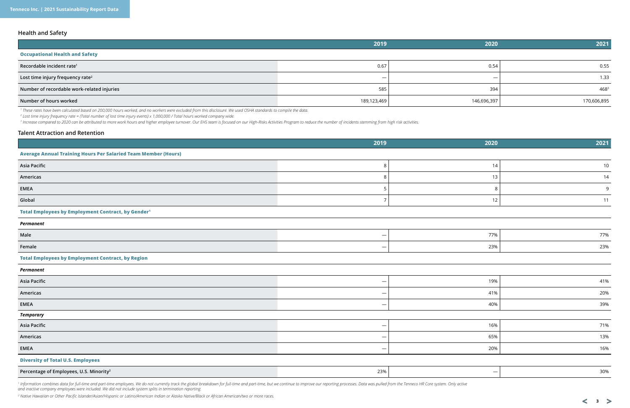# **Health and Safety**

|                                              | 2019                     | 2020        | 2021        |
|----------------------------------------------|--------------------------|-------------|-------------|
| <b>Occupational Health and Safety</b>        |                          |             |             |
| Recordable incident rate <sup>1</sup>        | 0.67                     | 0.54        | 0.55        |
| Lost time injury frequency rate <sup>2</sup> | $\overline{\phantom{m}}$ |             | 1.33        |
| Number of recordable work-related injuries   | 585                      | 394         | $468^3$     |
| Number of hours worked                       | 189,123,469              | 146,696,397 | 170,606,895 |

*1 These rates have been calculated based on 200,000 hours worked, and no workers were excluded from this disclosure. We used OSHA standards to compile the data.*

*2 Lost time injury frequency rate = (Total number of lost time injury events) x 1,000,000 / Total hours worked company wide.*

<sup>3</sup> Increase compared to 2020 can be attributed to more work hours and higher employee turnover. Our EHS team is focused on our High-Risks Activities Program to reduce the number of incidents stemming from high risk activi

# **Talent Attraction and Retention**

1 Information combines data for full-time and part-time employees. We do not currently track the global breakdown for full-time and part-time, but we continue to improve our reporting processes. Data was pulled from the Te *and inactive company employees were included. We did not include system splits in termination reporting.*

| 2019                                                                  | 2020                     | 2021 |
|-----------------------------------------------------------------------|--------------------------|------|
| <b>Average Annual Training Hours Per Salaried Team Member (Hours)</b> |                          |      |
| <b>Asia Pacific</b><br>8                                              | 14                       | 10   |
| Americas<br>8                                                         | 13                       | 14   |
| <b>EMEA</b><br>5                                                      | 8                        | 9    |
| Global<br>$\overline{7}$                                              | 12                       | 11   |
| Total Employees by Employment Contract, by Gender <sup>1</sup>        |                          |      |
| Permanent                                                             |                          |      |
| Male                                                                  | 77%                      | 77%  |
| Female<br>$\qquad \qquad -$                                           | 23%                      | 23%  |
| <b>Total Employees by Employment Contract, by Region</b>              |                          |      |
| <b>Permanent</b>                                                      |                          |      |
| <b>Asia Pacific</b><br>$\overline{\phantom{m}}$                       | 19%                      | 41%  |
| Americas                                                              | 41%                      | 20%  |
| <b>EMEA</b><br>$\overline{\phantom{m}}$                               | 40%                      | 39%  |
| Temporary                                                             |                          |      |
| <b>Asia Pacific</b><br>$\overline{\phantom{m}}$                       | 16%                      | 71%  |
| Americas<br>$\overline{\phantom{m}}$                                  | 65%                      | 13%  |
| <b>EMEA</b><br>$\overline{\phantom{m}}$                               | 20%                      | 16%  |
| <b>Diversity of Total U.S. Employees</b>                              |                          |      |
| 23%<br>Percentage of Employees, U.S. Minority <sup>2</sup>            | $\overline{\phantom{m}}$ | 30%  |

*2 Native Hawaiian or Other Pacific Islander/Asian/Hispanic or Latino/American Indian or Alaska Native/Black or African American/two or more races.*

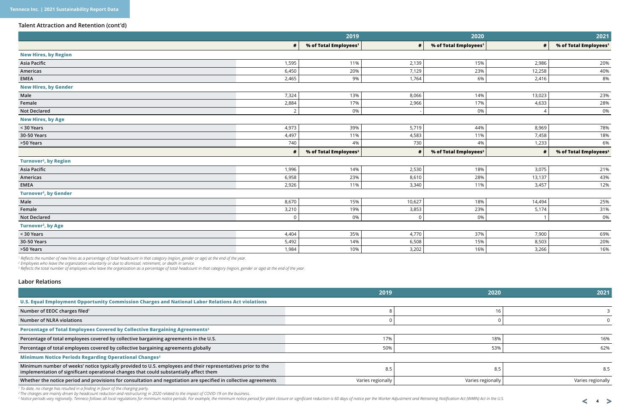## **Talent Attraction and Retention (cont'd)**

|                                        |                | 2019                              |            | 2020                              |        | 2021                              |
|----------------------------------------|----------------|-----------------------------------|------------|-----------------------------------|--------|-----------------------------------|
|                                        | #              | % of Total Employees <sup>1</sup> | $\#$       | % of Total Employees <sup>1</sup> | #      | % of Total Employees <sup>1</sup> |
| <b>New Hires, by Region</b>            |                |                                   |            |                                   |        |                                   |
| <b>Asia Pacific</b>                    | 1,595          | 11%                               | 2,139      | 15%                               | 2,986  | 20%                               |
| Americas                               | 6,450          | 20%                               | 7,129      | 23%                               | 12,258 | 40%                               |
| <b>EMEA</b>                            | 2,465          | 9%                                | 1,764      | 6%                                | 2,416  | 8%                                |
| <b>New Hires, by Gender</b>            |                |                                   |            |                                   |        |                                   |
| Male                                   | 7,324          | 13%                               | 8,066      | 14%                               | 13,023 | 23%                               |
| Female                                 | 2,884          | 17%                               | 2,966      | 17%                               | 4,633  | 28%                               |
| <b>Not Declared</b>                    | $\overline{2}$ | 0%                                |            | 0%                                | 4      | 0%                                |
| <b>New Hires, by Age</b>               |                |                                   |            |                                   |        |                                   |
| < 30 Years                             | 4,973          | 39%                               | 5,719      | 44%                               | 8,969  | 78%                               |
| 30-50 Years                            | 4,497          | 11%                               | 4,583      | 11%                               | 7,458  | 18%                               |
| >50 Years                              | 740            | 4%                                | 730        | 4%                                | 1,233  | 6%                                |
|                                        |                | % of Total Employees <sup>3</sup> | $\pmb{\#}$ | % of Total Employees <sup>3</sup> | #      | % of Total Employees <sup>3</sup> |
| <b>Turnover<sup>2</sup>, by Region</b> |                |                                   |            |                                   |        |                                   |
| <b>Asia Pacific</b>                    | 1,996          | 14%                               | 2,530      | 18%                               | 3,075  | 21%                               |
| Americas                               | 6,958          | 23%                               | 8,610      | 28%                               | 13,137 | 43%                               |
| <b>EMEA</b>                            | 2,926          | 11%                               | 3,340      | 11%                               | 3,457  | 12%                               |
| <b>Turnover<sup>2</sup>, by Gender</b> |                |                                   |            |                                   |        |                                   |
| Male                                   | 8,670          | 15%                               | 10,627     | 18%                               | 14,494 | 25%                               |
| Female                                 | 3,210          | 19%                               | 3,853      | 23%                               | 5,174  | 31%                               |
| <b>Not Declared</b>                    | $\Omega$       | 0%                                | $\Omega$   | 0%                                |        | 0%                                |
| Turnover <sup>2</sup> , by Age         |                |                                   |            |                                   |        |                                   |
| < 30 Years                             | 4,404          | 35%                               | 4,770      | 37%                               | 7,900  | 69%                               |
| 30-50 Years                            | 5,492          | 14%                               | 6,508      | 15%                               | 8,503  | 20%                               |
| >50 Years                              | 1,984          | 10%                               | 3,202      | 16%                               | 3,266  | 16%                               |

<sup>1</sup> Reflects the number of new hires as a percentage of total headcount in that category (region, gender or age) at the end of the year.<br><sup>2</sup> Employees who leave the organization voluntarily or due to dismissal, retirement,

| 2021              |
|-------------------|
|                   |
|                   |
|                   |
|                   |
| 16%               |
| 62%               |
|                   |
| 8.5               |
| Varies regionally |
|                   |

*3 Reflects the total number of employees who leave the organization as a percentage of total headcount in that category (region, gender or age) at the end of the year.*



## **Labor Relations**

*1 To date, no charge has resulted in a finding in favor of the charging party.*

<sup>2</sup> The changes are mainly driven by headcount reduction and restructuring in 2020 related to the impact of COVID-19 on the business.<br><sup>3</sup> Notice periods vary regionally. Tenneco follows all local regulations for minimum no

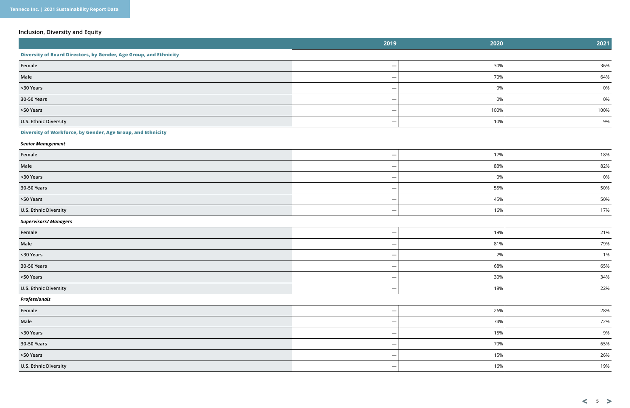# **Inclusion, Diversity and Equity**

|                                                                   | 2019                     | 2020 | 2021 |
|-------------------------------------------------------------------|--------------------------|------|------|
| Diversity of Board Directors, by Gender, Age Group, and Ethnicity |                          |      |      |
| Female                                                            | $\overline{\phantom{a}}$ | 30%  | 36%  |
| Male                                                              |                          | 70%  | 64%  |
| <30 Years                                                         |                          | 0%   | 0%   |
| 30-50 Years                                                       |                          | 0%   | 0%   |
| >50 Years                                                         |                          | 100% | 100% |
| U.S. Ethnic Diversity                                             | $\overline{\phantom{0}}$ | 10%  | 9%   |
| Diversity of Workforce, by Gender, Age Group, and Ethnicity       |                          |      |      |
| <b>Senior Management</b>                                          |                          |      |      |
| Female                                                            |                          | 17%  | 18%  |
| Male                                                              |                          | 83%  | 82%  |
| <30 Years                                                         |                          | 0%   | 0%   |
| 30-50 Years                                                       |                          | 55%  | 50%  |
| >50 Years                                                         |                          | 45%  | 50%  |
| U.S. Ethnic Diversity                                             | $\overline{\phantom{a}}$ | 16%  | 17%  |
| <b>Supervisors/Managers</b>                                       |                          |      |      |
| Female                                                            |                          | 19%  | 21%  |
| Male                                                              |                          | 81%  | 79%  |
| <30 Years                                                         |                          | 2%   | 1%   |
| 30-50 Years                                                       | $\overline{\phantom{m}}$ | 68%  | 65%  |
| >50 Years                                                         |                          | 30%  | 34%  |
| U.S. Ethnic Diversity                                             | $\overline{\phantom{m}}$ | 18%  | 22%  |
| Professionals                                                     |                          |      |      |
| Female                                                            | $\overline{\phantom{0}}$ | 26%  | 28%  |
| Male                                                              |                          | 74%  | 72%  |
| <30 Years                                                         |                          | 15%  | 9%   |
| 30-50 Years                                                       | $\overline{\phantom{m}}$ | 70%  | 65%  |
| >50 Years                                                         |                          | 15%  | 26%  |
| U.S. Ethnic Diversity                                             |                          | 16%  | 19%  |

 $\lt$  5  $>$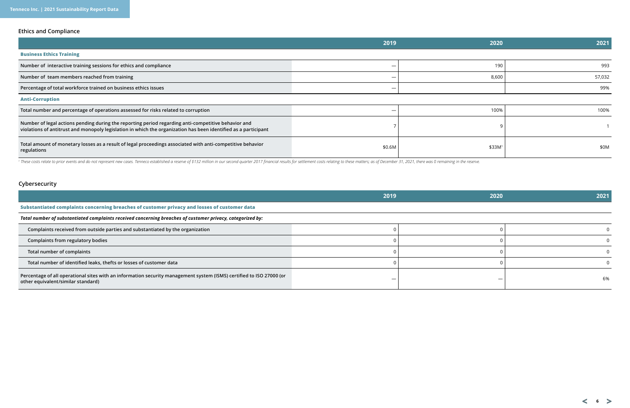# **Ethics and Compliance**

# **Cybersecurity**

|                                                                                                                                                                                                                        | 2019   | 2020               | 2021   |
|------------------------------------------------------------------------------------------------------------------------------------------------------------------------------------------------------------------------|--------|--------------------|--------|
| <b>Business Ethics Training</b>                                                                                                                                                                                        |        |                    |        |
| Number of interactive training sessions for ethics and compliance                                                                                                                                                      |        | 190                | 993    |
| Number of team members reached from training                                                                                                                                                                           |        | 8,600              | 57,032 |
| Percentage of total workforce trained on business ethics issues                                                                                                                                                        |        |                    | 99%    |
| <b>Anti-Corruption</b>                                                                                                                                                                                                 |        |                    |        |
| Total number and percentage of operations assessed for risks related to corruption                                                                                                                                     |        | 100%               | 100%   |
| Number of legal actions pending during the reporting period regarding anti-competitive behavior and<br>violations of antitrust and monopoly legislation in which the organization has been identified as a participant |        |                    |        |
| Total amount of monetary losses as a result of legal proceedings associated with anti-competitive behavior<br>regulations                                                                                              | \$0.6M | \$33M <sup>1</sup> | \$0M   |

<sup>1</sup> These costs relate to prior events and do not represent new cases. Tenneco established a reserve of \$132 million in our second quarter 2017 financial results for settlement costs relating to these matters; as of Decemb

|                                                                                                                                                            | 2019 | 2020 | 2021 |
|------------------------------------------------------------------------------------------------------------------------------------------------------------|------|------|------|
| Substantiated complaints concerning breaches of customer privacy and losses of customer data                                                               |      |      |      |
| Total number of substantiated complaints received concerning breaches of customer privacy, categorized by:                                                 |      |      |      |
| Complaints received from outside parties and substantiated by the organization                                                                             |      |      |      |
| Complaints from regulatory bodies                                                                                                                          |      |      |      |
| Total number of complaints                                                                                                                                 |      |      |      |
| Total number of identified leaks, thefts or losses of customer data                                                                                        |      |      |      |
| Percentage of all operational sites with an information security management system (ISMS) certified to ISO 27000 (or<br>other equivalent/similar standard) | -    |      | 6%   |

 $6 >$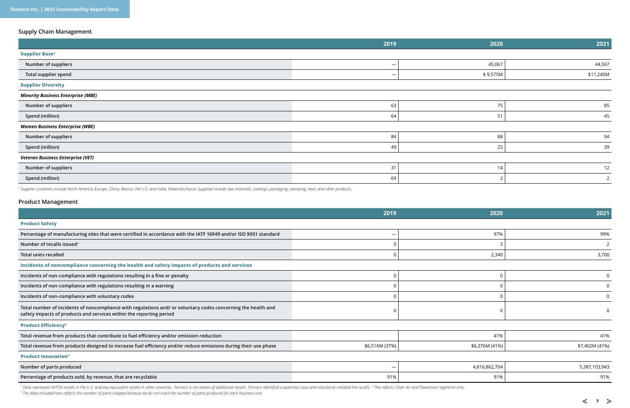# **Supply Chain Management**

|                                           | 2019                     | 2020     | 2021           |
|-------------------------------------------|--------------------------|----------|----------------|
| <b>Supplier Base<sup>1</sup></b>          |                          |          |                |
| Number of suppliers                       | $\overline{\phantom{m}}$ | 45,067   | 44,567         |
| Total supplier spend                      |                          | \$9,575M | \$11,240M      |
| <b>Supplier Diversity</b>                 |                          |          |                |
| <b>Minority Business Enterprise (MBE)</b> |                          |          |                |
| Number of suppliers                       | 63                       | 75       | 85             |
| Spend (million)                           | 64                       | 51       | 45             |
| <b>Women Business Enterprise (WBE)</b>    |                          |          |                |
| Number of suppliers                       | 84                       | 88       | 94             |
| Spend (million)                           | 49                       | 25       | 39             |
| <b>Veteran Business Enterprise (VET)</b>  |                          |          |                |
| Number of suppliers                       | 31                       | 14       | 12             |
| Spend (million)                           | 69                       |          | $\overline{2}$ |

|                                                                                                                                                                                      | 2019           | 2020           | 2021           |
|--------------------------------------------------------------------------------------------------------------------------------------------------------------------------------------|----------------|----------------|----------------|
| <b>Product Safety</b>                                                                                                                                                                |                |                |                |
| Percentage of manufacturing sites that were certified in accordance with the IATF 16949 and/or ISO 9001 standard                                                                     |                | 97%            | 99%            |
| Number of recalls issued <sup>1</sup>                                                                                                                                                |                |                |                |
| <b>Total units recalled</b>                                                                                                                                                          |                | 2,340          | 3,700          |
| Incidents of noncompliance concerning the health and safety impacts of products and services                                                                                         |                |                |                |
| Incidents of non-compliance with regulations resulting in a fine or penalty                                                                                                          |                |                | $\Omega$       |
| Incidents of non-compliance with regulations resulting in a warning                                                                                                                  |                |                | $\overline{0}$ |
| Incidents of non-compliance with voluntary codes                                                                                                                                     |                |                | $\Omega$       |
| Total number of incidents of noncompliance with regulations and/ or voluntary codes concerning the health and<br>safety impacts of products and services within the reporting period |                |                |                |
| <b>Product Efficiency<sup>2</sup></b>                                                                                                                                                |                |                |                |
| Total revenue from products that contribute to fuel efficiency and/or emission reduction                                                                                             |                | 41%            | 41%            |
| Total revenue from products designed to increase fuel efficiency and/or reduce emissions during their use phase                                                                      | \$6,516M (37%) | \$6,376M (41%) | \$7,402M (41%) |
| <b>Product Innovation</b> <sup>3</sup>                                                                                                                                               |                |                |                |
| Number of parts produced                                                                                                                                                             |                | 4,816,862,704  | 5,387,103,943  |
| Percentage of products sold, by revenue, that are recyclable                                                                                                                         | 91%            | 91%            | 91%            |

1 Data represents NHTSA recalls in the U.S. and any equivalent recalls in other countries. Tenneco is not aware of additional recalls. Tenneco identified a potential issue and voluntarily initiated the recalls. <sup>2</sup> This re *3 The data included here reflects the number of parts shipped because we do not track the number of parts produced for each business unit.*

# **Product Management**

*1 Supplier Locations include North America, Europe, China, Mexico, the U.S. and India. Materials/Inputs Supplied include raw materials, coatings, packaging, stamping, steel, and other products.*